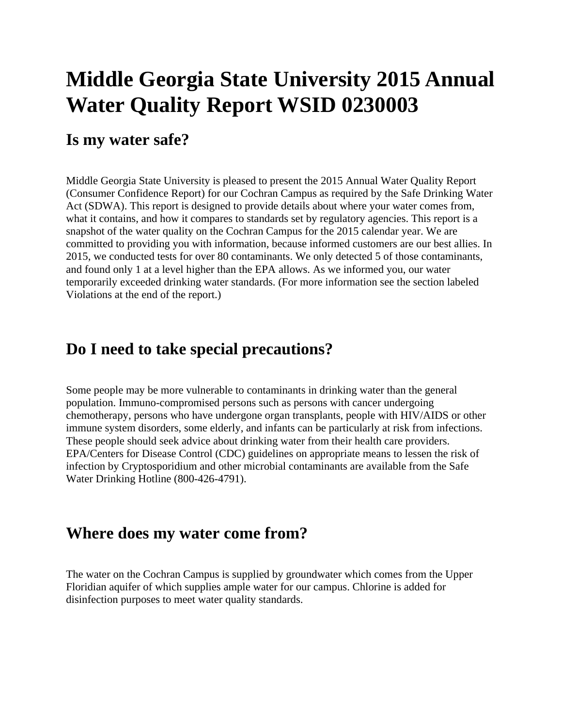# **Middle Georgia State University 2015 Annual Water Quality Report WSID 0230003**

#### **Is my water safe?**

Middle Georgia State University is pleased to present the 2015 Annual Water Quality Report (Consumer Confidence Report) for our Cochran Campus as required by the Safe Drinking Water Act (SDWA). This report is designed to provide details about where your water comes from, what it contains, and how it compares to standards set by regulatory agencies. This report is a snapshot of the water quality on the Cochran Campus for the 2015 calendar year. We are committed to providing you with information, because informed customers are our best allies. In 2015, we conducted tests for over 80 contaminants. We only detected 5 of those contaminants, and found only 1 at a level higher than the EPA allows. As we informed you, our water temporarily exceeded drinking water standards. (For more information see the section labeled Violations at the end of the report.)

### **Do I need to take special precautions?**

Some people may be more vulnerable to contaminants in drinking water than the general population. Immuno-compromised persons such as persons with cancer undergoing chemotherapy, persons who have undergone organ transplants, people with HIV/AIDS or other immune system disorders, some elderly, and infants can be particularly at risk from infections. These people should seek advice about drinking water from their health care providers. EPA/Centers for Disease Control (CDC) guidelines on appropriate means to lessen the risk of infection by Cryptosporidium and other microbial contaminants are available from the Safe Water Drinking Hotline (800-426-4791).

#### **Where does my water come from?**

The water on the Cochran Campus is supplied by groundwater which comes from the Upper Floridian aquifer of which supplies ample water for our campus. Chlorine is added for disinfection purposes to meet water quality standards.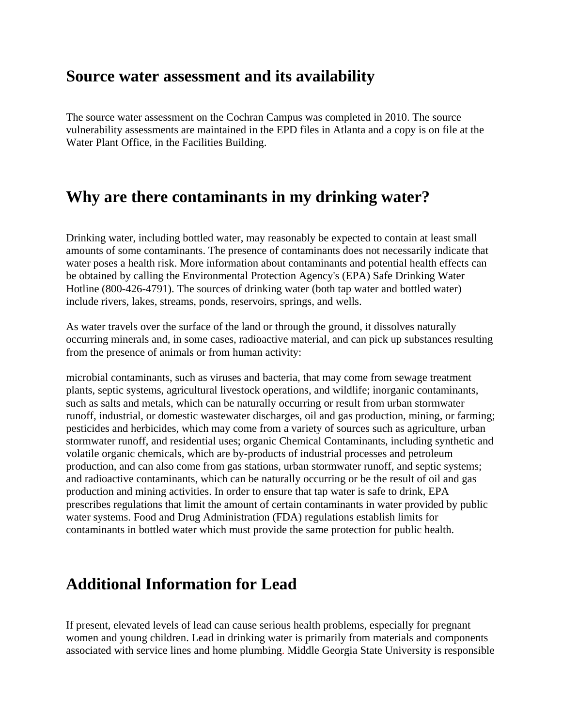### **Source water assessment and its availability**

The source water assessment on the Cochran Campus was completed in 2010. The source vulnerability assessments are maintained in the EPD files in Atlanta and a copy is on file at the Water Plant Office, in the Facilities Building.

# **Why are there contaminants in my drinking water?**

Drinking water, including bottled water, may reasonably be expected to contain at least small amounts of some contaminants. The presence of contaminants does not necessarily indicate that water poses a health risk. More information about contaminants and potential health effects can be obtained by calling the Environmental Protection Agency's (EPA) Safe Drinking Water Hotline (800-426-4791). The sources of drinking water (both tap water and bottled water) include rivers, lakes, streams, ponds, reservoirs, springs, and wells.

As water travels over the surface of the land or through the ground, it dissolves naturally occurring minerals and, in some cases, radioactive material, and can pick up substances resulting from the presence of animals or from human activity:

microbial contaminants, such as viruses and bacteria, that may come from sewage treatment plants, septic systems, agricultural livestock operations, and wildlife; inorganic contaminants, such as salts and metals, which can be naturally occurring or result from urban stormwater runoff, industrial, or domestic wastewater discharges, oil and gas production, mining, or farming; pesticides and herbicides, which may come from a variety of sources such as agriculture, urban stormwater runoff, and residential uses; organic Chemical Contaminants, including synthetic and volatile organic chemicals, which are by-products of industrial processes and petroleum production, and can also come from gas stations, urban stormwater runoff, and septic systems; and radioactive contaminants, which can be naturally occurring or be the result of oil and gas production and mining activities. In order to ensure that tap water is safe to drink, EPA prescribes regulations that limit the amount of certain contaminants in water provided by public water systems. Food and Drug Administration (FDA) regulations establish limits for contaminants in bottled water which must provide the same protection for public health.

# **Additional Information for Lead**

If present, elevated levels of lead can cause serious health problems, especially for pregnant women and young children. Lead in drinking water is primarily from materials and components associated with service lines and home plumbing. Middle Georgia State University is responsible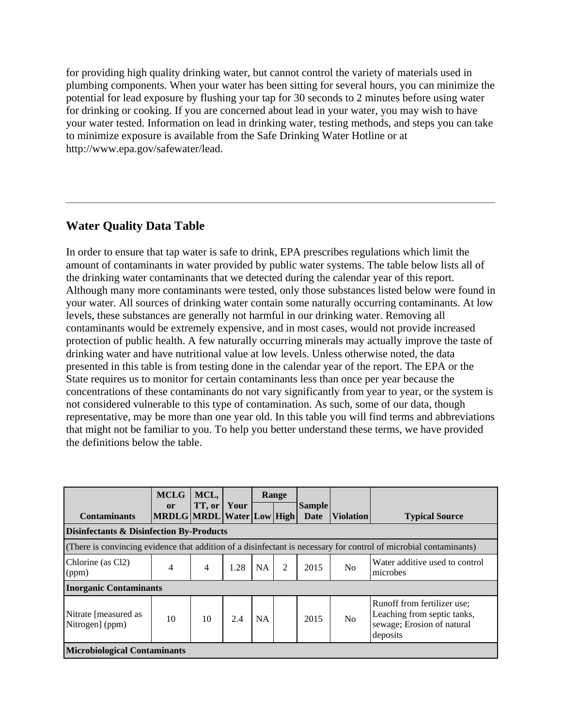for providing high quality drinking water, but cannot control the variety of materials used in plumbing components. When your water has been sitting for several hours, you can minimize the potential for lead exposure by flushing your tap for 30 seconds to 2 minutes before using water for drinking or cooking. If you are concerned about lead in your water, you may wish to have your water tested. Information on lead in drinking water, testing methods, and steps you can take to minimize exposure is available from the Safe Drinking Water Hotline or at http://www.epa.gov/safewater/lead.

#### **Water Quality Data Table**

In order to ensure that tap water is safe to drink, EPA prescribes regulations which limit the amount of contaminants in water provided by public water systems. The table below lists all of the drinking water contaminants that we detected during the calendar year of this report. Although many more contaminants were tested, only those substances listed below were found in your water. All sources of drinking water contain some naturally occurring contaminants. At low levels, these substances are generally not harmful in our drinking water. Removing all contaminants would be extremely expensive, and in most cases, would not provide increased protection of public health. A few naturally occurring minerals may actually improve the taste of drinking water and have nutritional value at low levels. Unless otherwise noted, the data presented in this table is from testing done in the calendar year of the report. The EPA or the State requires us to monitor for certain contaminants less than once per year because the concentrations of these contaminants do not vary significantly from year to year, or the system is not considered vulnerable to this type of contamination. As such, some of our data, though representative, may be more than one year old. In this table you will find terms and abbreviations that might not be familiar to you. To help you better understand these terms, we have provided the definitions below the table.

| <b>Contaminants</b>                                 | <b>MCLG</b><br><b>or</b><br>MRDLG MRDL Water Low High | MCL,<br>TT, or | Your |           | Range | <b>Sample</b><br>Date | <b>Violation</b> | <b>Typical Source</b>                                                                                             |
|-----------------------------------------------------|-------------------------------------------------------|----------------|------|-----------|-------|-----------------------|------------------|-------------------------------------------------------------------------------------------------------------------|
| <b>Disinfectants &amp; Disinfection By-Products</b> |                                                       |                |      |           |       |                       |                  |                                                                                                                   |
|                                                     |                                                       |                |      |           |       |                       |                  | (There is convincing evidence that addition of a disinfectant is necessary for control of microbial contaminants) |
| Chlorine (as Cl2)<br>(ppm)                          | 4                                                     | $\overline{4}$ | 1.28 | <b>NA</b> | 2     | 2015                  | N <sub>0</sub>   | Water additive used to control<br>microbes                                                                        |
| <b>Inorganic Contaminants</b>                       |                                                       |                |      |           |       |                       |                  |                                                                                                                   |
| Nitrate [measured as<br>Nitrogen] (ppm)             | 10                                                    | 10             | 2.4  | <b>NA</b> |       | 2015                  | N <sub>o</sub>   | Runoff from fertilizer use;<br>Leaching from septic tanks,<br>sewage; Erosion of natural<br>deposits              |
| <b>Microbiological Contaminants</b>                 |                                                       |                |      |           |       |                       |                  |                                                                                                                   |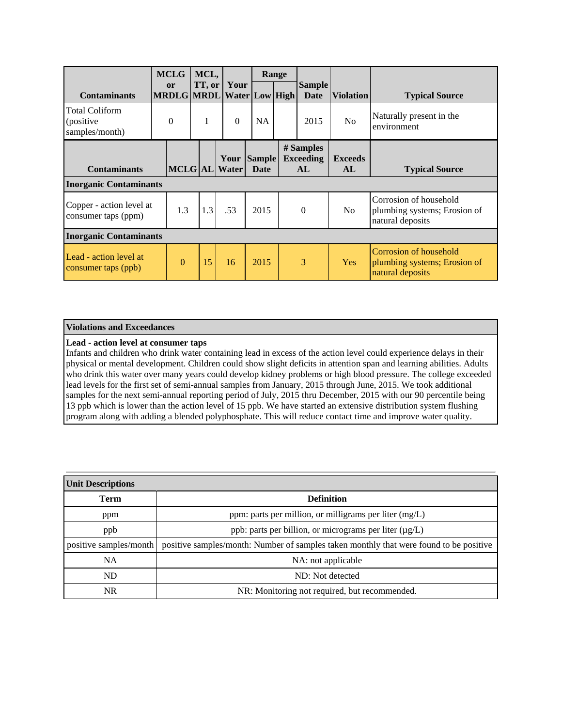|                                                       | <b>MCLG</b>                                | MCL,   |                              |           | Range |                                     |                      |                                                                            |
|-------------------------------------------------------|--------------------------------------------|--------|------------------------------|-----------|-------|-------------------------------------|----------------------|----------------------------------------------------------------------------|
| <b>Contaminants</b>                                   | <sub>or</sub><br>MRDLG MRDL Water Low High | TT, or | Your                         |           |       | <b>Sample</b><br>Date               | <b>Violation</b>     | <b>Typical Source</b>                                                      |
| <b>Total Coliform</b><br>(positive)<br>samples/month) | $\Omega$                                   | 1      | $\Omega$                     | <b>NA</b> |       | 2015                                | No                   | Naturally present in the<br>environment                                    |
| <b>Contaminants</b>                                   |                                            |        | Your Sample<br>MCLG AL Water | Date      |       | # Samples<br><b>Exceeding</b><br>AL | <b>Exceeds</b><br>AL | <b>Typical Source</b>                                                      |
| <b>Inorganic Contaminants</b>                         |                                            |        |                              |           |       |                                     |                      |                                                                            |
| Copper - action level at<br>consumer taps (ppm)       | 1.3                                        | 1.3    | .53                          | 2015      |       | $\Omega$                            | N <sub>0</sub>       | Corrosion of household<br>plumbing systems; Erosion of<br>natural deposits |
| <b>Inorganic Contaminants</b>                         |                                            |        |                              |           |       |                                     |                      |                                                                            |
| Lead - action level at<br>consumer taps (ppb)         | $\theta$                                   | 15     | 16                           | 2015      |       | 3                                   | Yes                  | Corrosion of household<br>plumbing systems; Erosion of<br>natural deposits |

#### **Violations and Exceedances**

#### **Lead - action level at consumer taps**

Infants and children who drink water containing lead in excess of the action level could experience delays in their physical or mental development. Children could show slight deficits in attention span and learning abilities. Adults who drink this water over many years could develop kidney problems or high blood pressure. The college exceeded lead levels for the first set of semi-annual samples from January, 2015 through June, 2015. We took additional samples for the next semi-annual reporting period of July, 2015 thru December, 2015 with our 90 percentile being 13 ppb which is lower than the action level of 15 ppb. We have started an extensive distribution system flushing program along with adding a blended polyphosphate. This will reduce contact time and improve water quality.

| <b>Unit Descriptions</b> |                                                                                        |  |  |  |  |  |  |
|--------------------------|----------------------------------------------------------------------------------------|--|--|--|--|--|--|
| <b>Term</b>              | <b>Definition</b>                                                                      |  |  |  |  |  |  |
| ppm                      | ppm: parts per million, or milligrams per liter (mg/L)                                 |  |  |  |  |  |  |
| ppb                      | ppb: parts per billion, or micrograms per liter (µg/L)                                 |  |  |  |  |  |  |
| positive samples/month   | positive samples/month: Number of samples taken monthly that were found to be positive |  |  |  |  |  |  |
| <b>NA</b>                | NA: not applicable                                                                     |  |  |  |  |  |  |
| ND                       | ND: Not detected                                                                       |  |  |  |  |  |  |
| NR.                      | NR: Monitoring not required, but recommended.                                          |  |  |  |  |  |  |